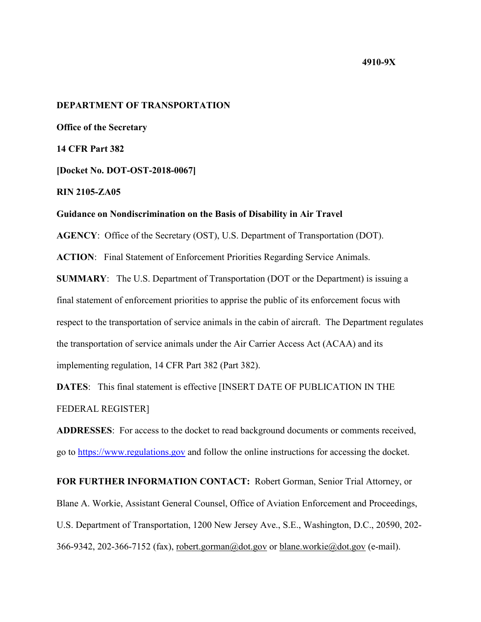## **4910-9X**

# **DEPARTMENT OF TRANSPORTATION**

**Office of the Secretary** 

**14 CFR Part 382**

**[Docket No. DOT-OST-2018-0067]**

**RIN 2105-ZA05**

### **Guidance on Nondiscrimination on the Basis of Disability in Air Travel**

**AGENCY**: Office of the Secretary (OST), U.S. Department of Transportation (DOT).

**ACTION**: Final Statement of Enforcement Priorities Regarding Service Animals.

**SUMMARY**: The U.S. Department of Transportation (DOT or the Department) is issuing a final statement of enforcement priorities to apprise the public of its enforcement focus with respect to the transportation of service animals in the cabin of aircraft. The Department regulates the transportation of service animals under the Air Carrier Access Act (ACAA) and its implementing regulation, 14 CFR Part 382 (Part 382).

**DATES**: This final statement is effective [INSERT DATE OF PUBLICATION IN THE FEDERAL REGISTER]

**ADDRESSES**: For access to the docket to read background documents or comments received, go to https://www.regulations.gov and follow the online instructions for accessing the docket.

**FOR FURTHER INFORMATION CONTACT:** Robert Gorman, Senior Trial Attorney, or Blane A. Workie, Assistant General Counsel, Office of Aviation Enforcement and Proceedings, U.S. Department of Transportation, 1200 New Jersey Ave., S.E., Washington, D.C., 20590, 202- 366-9342, 202-366-7152 (fax), robert.gorman@dot.gov or blane.workie@dot.gov (e-mail).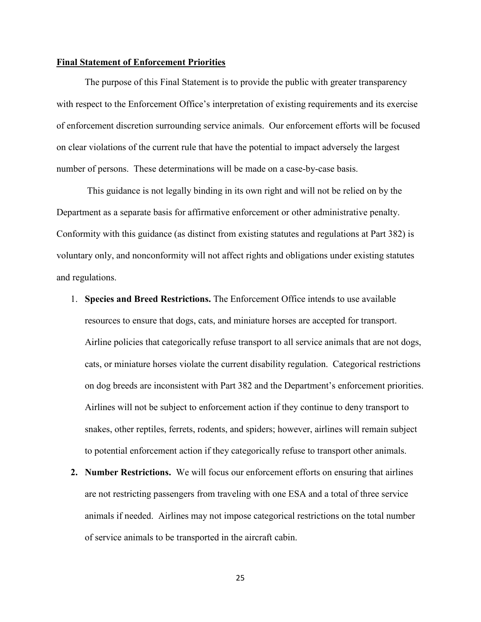# **Final Statement of Enforcement Priorities**

The purpose of this Final Statement is to provide the public with greater transparency with respect to the Enforcement Office's interpretation of existing requirements and its exercise of enforcement discretion surrounding service animals. Our enforcement efforts will be focused on clear violations of the current rule that have the potential to impact adversely the largest number of persons. These determinations will be made on a case-by-case basis.

This guidance is not legally binding in its own right and will not be relied on by the Department as a separate basis for affirmative enforcement or other administrative penalty. Conformity with this guidance (as distinct from existing statutes and regulations at Part 382) is voluntary only, and nonconformity will not affect rights and obligations under existing statutes and regulations.

- 1. **Species and Breed Restrictions.** The Enforcement Office intends to use available resources to ensure that dogs, cats, and miniature horses are accepted for transport. Airline policies that categorically refuse transport to all service animals that are not dogs, cats, or miniature horses violate the current disability regulation. Categorical restrictions on dog breeds are inconsistent with Part 382 and the Department's enforcement priorities. Airlines will not be subject to enforcement action if they continue to deny transport to snakes, other reptiles, ferrets, rodents, and spiders; however, airlines will remain subject to potential enforcement action if they categorically refuse to transport other animals.
- **2. Number Restrictions.** We will focus our enforcement efforts on ensuring that airlines are not restricting passengers from traveling with one ESA and a total of three service animals if needed. Airlines may not impose categorical restrictions on the total number of service animals to be transported in the aircraft cabin.

25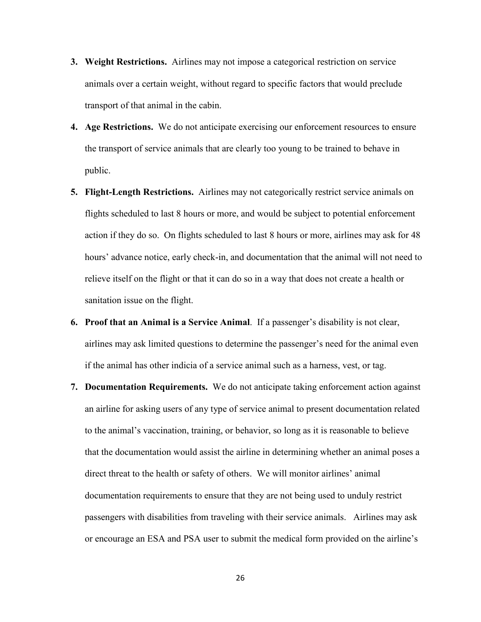- **3. Weight Restrictions.** Airlines may not impose a categorical restriction on service animals over a certain weight, without regard to specific factors that would preclude transport of that animal in the cabin.
- **4. Age Restrictions.** We do not anticipate exercising our enforcement resources to ensure the transport of service animals that are clearly too young to be trained to behave in public.
- **5. Flight-Length Restrictions.** Airlines may not categorically restrict service animals on flights scheduled to last 8 hours or more, and would be subject to potential enforcement action if they do so. On flights scheduled to last 8 hours or more, airlines may ask for 48 hours' advance notice, early check-in, and documentation that the animal will not need to relieve itself on the flight or that it can do so in a way that does not create a health or sanitation issue on the flight.
- **6. Proof that an Animal is a Service Animal**. If a passenger's disability is not clear, airlines may ask limited questions to determine the passenger's need for the animal even if the animal has other indicia of a service animal such as a harness, vest, or tag.
- **7. Documentation Requirements.** We do not anticipate taking enforcement action against an airline for asking users of any type of service animal to present documentation related to the animal's vaccination, training, or behavior, so long as it is reasonable to believe that the documentation would assist the airline in determining whether an animal poses a direct threat to the health or safety of others. We will monitor airlines' animal documentation requirements to ensure that they are not being used to unduly restrict passengers with disabilities from traveling with their service animals. Airlines may ask or encourage an ESA and PSA user to submit the medical form provided on the airline's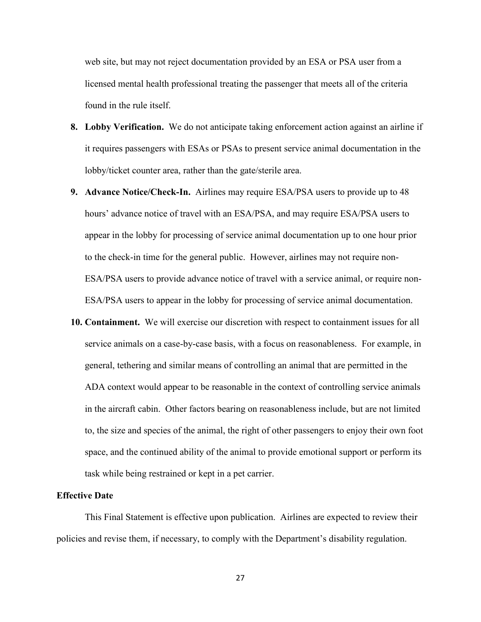web site, but may not reject documentation provided by an ESA or PSA user from a licensed mental health professional treating the passenger that meets all of the criteria found in the rule itself.

- **8. Lobby Verification.** We do not anticipate taking enforcement action against an airline if it requires passengers with ESAs or PSAs to present service animal documentation in the lobby/ticket counter area, rather than the gate/sterile area.
- **9. Advance Notice/Check-In.** Airlines may require ESA/PSA users to provide up to 48 hours' advance notice of travel with an ESA/PSA, and may require ESA/PSA users to appear in the lobby for processing of service animal documentation up to one hour prior to the check-in time for the general public. However, airlines may not require non-ESA/PSA users to provide advance notice of travel with a service animal, or require non-ESA/PSA users to appear in the lobby for processing of service animal documentation.
- **10. Containment.** We will exercise our discretion with respect to containment issues for all service animals on a case-by-case basis, with a focus on reasonableness. For example, in general, tethering and similar means of controlling an animal that are permitted in the ADA context would appear to be reasonable in the context of controlling service animals in the aircraft cabin. Other factors bearing on reasonableness include, but are not limited to, the size and species of the animal, the right of other passengers to enjoy their own foot space, and the continued ability of the animal to provide emotional support or perform its task while being restrained or kept in a pet carrier.

## **Effective Date**

This Final Statement is effective upon publication. Airlines are expected to review their policies and revise them, if necessary, to comply with the Department's disability regulation.

27